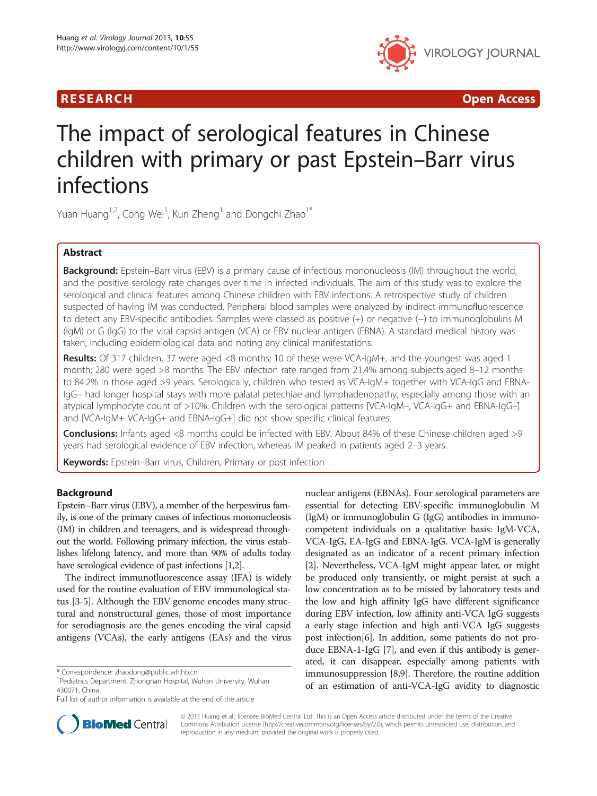

R E S EAR CH Open Access

# The impact of serological features in Chinese children with primary or past Epstein–Barr virus infections

Yuan Huang<sup>1,2</sup>, Cong Wei<sup>1</sup>, Kun Zheng<sup>1</sup> and Dongchi Zhao<sup>1\*</sup>

# Abstract

Background: Epstein–Barr virus (EBV) is a primary cause of infectious mononucleosis (IM) throughout the world, and the positive serology rate changes over time in infected individuals. The aim of this study was to explore the serological and clinical features among Chinese children with EBV infections. A retrospective study of children suspected of having IM was conducted. Peripheral blood samples were analyzed by indirect immunofluorescence to detect any EBV-specific antibodies. Samples were classed as positive (+) or negative (−) to immunoglobulins M (IgM) or G (IgG) to the viral capsid antigen (VCA) or EBV nuclear antigen (EBNA). A standard medical history was taken, including epidemiological data and noting any clinical manifestations.

Results: Of 317 children, 37 were aged <8 months; 10 of these were VCA-lgM+, and the youngest was aged 1 month; 280 were aged >8 months. The EBV infection rate ranged from 21.4% among subjects aged 8–12 months to 84.2% in those aged >9 years. Serologically, children who tested as VCA-IgM+ together with VCA-IgG and EBNA-IgG– had longer hospital stays with more palatal petechiae and lymphadenopathy, especially among those with an atypical lymphocyte count of >10%. Children with the serological patterns [VCA-IgM–, VCA-IgG+ and EBNA-IgG–] and [VCA-IgM+ VCA-IgG+ and EBNA-IgG+] did not show specific clinical features.

Conclusions: Infants aged <8 months could be infected with EBV. About 84% of these Chinese children aged >9 years had serological evidence of EBV infection, whereas IM peaked in patients aged 2–3 years.

Keywords: Epstein-Barr virus, Children, Primary or post infection

# Background

Epstein–Barr virus (EBV), a member of the herpesvirus family, is one of the primary causes of infectious mononucleosis (IM) in children and teenagers, and is widespread throughout the world. Following primary infection, the virus establishes lifelong latency, and more than 90% of adults today have serological evidence of past infections [\[1](#page-6-0)[,2\]](#page-7-0).

The indirect immunofluorescence assay (IFA) is widely used for the routine evaluation of EBV immunological status [[3-5\]](#page-7-0). Although the EBV genome encodes many structural and nonstructural genes, those of most importance for serodiagnosis are the genes encoding the viral capsid antigens (VCAs), the early antigens (EAs) and the virus nuclear antigens (EBNAs). Four serological parameters are essential for detecting EBV-specific immunoglobulin M (IgM) or immunoglobulin G (IgG) antibodies in immunocompetent individuals on a qualitative basis: IgM-VCA, VCA-IgG, EA-IgG and EBNA-IgG. VCA-IgM is generally designated as an indicator of a recent primary infection [[2\]](#page-7-0). Nevertheless, VCA-IgM might appear later, or might be produced only transiently, or might persist at such a low concentration as to be missed by laboratory tests and the low and high affinity IgG have different significance during EBV infection, low affinity anti-VCA IgG suggests a early stage infection and high anti-VCA IgG suggests post infection[[6\]](#page-7-0). In addition, some patients do not produce EBNA-1-IgG [[7](#page-7-0)], and even if this antibody is generated, it can disappear, especially among patients with immunosuppression [\[8,9](#page-7-0)]. Therefore, the routine addition of an estimation of anti-VCA-IgG avidity to diagnostic



© 2013 Huang et al.; licensee BioMed Central Ltd. This is an Open Access article distributed under the terms of the Creative Commons Attribution License [\(http://creativecommons.org/licenses/by/2.0\)](http://creativecommons.org/licenses/by/2.0), which permits unrestricted use, distribution, and reproduction in any medium, provided the original work is properly cited.

<sup>\*</sup> Correspondence: [zhaodong@public.wh.hb.cn](mailto:zhaodong@public.wh.hb.cn) <sup>1</sup>

Pediatrics Department, Zhongnan Hospital, Wuhan University, Wuhan 430071, China

Full list of author information is available at the end of the article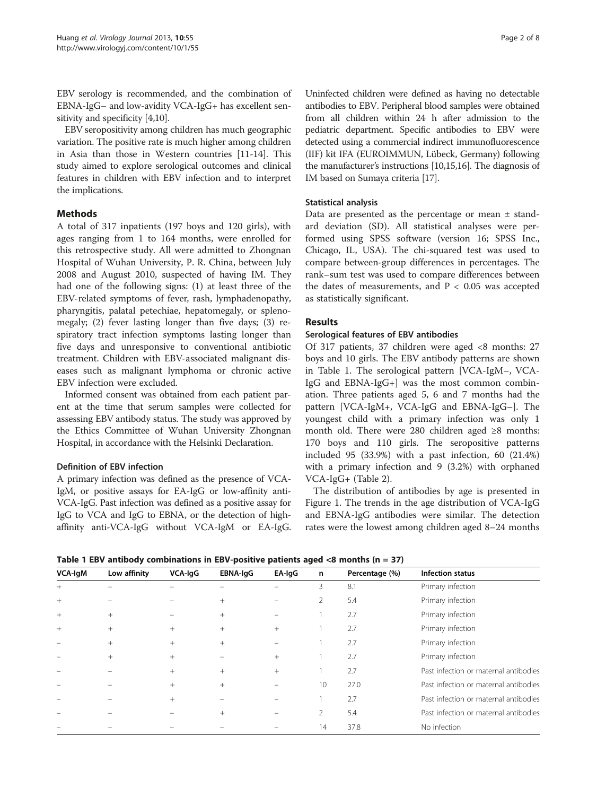EBV serology is recommended, and the combination of EBNA-IgG– and low-avidity VCA-IgG+ has excellent sensitivity and specificity [[4,10](#page-7-0)].

EBV seropositivity among children has much geographic variation. The positive rate is much higher among children in Asia than those in Western countries [[11](#page-7-0)-[14](#page-7-0)]. This study aimed to explore serological outcomes and clinical features in children with EBV infection and to interpret the implications.

# Methods

A total of 317 inpatients (197 boys and 120 girls), with ages ranging from 1 to 164 months, were enrolled for this retrospective study. All were admitted to Zhongnan Hospital of Wuhan University, P. R. China, between July 2008 and August 2010, suspected of having IM. They had one of the following signs: (1) at least three of the EBV-related symptoms of fever, rash, lymphadenopathy, pharyngitis, palatal petechiae, hepatomegaly, or splenomegaly; (2) fever lasting longer than five days; (3) respiratory tract infection symptoms lasting longer than five days and unresponsive to conventional antibiotic treatment. Children with EBV-associated malignant diseases such as malignant lymphoma or chronic active EBV infection were excluded.

Informed consent was obtained from each patient parent at the time that serum samples were collected for assessing EBV antibody status. The study was approved by the Ethics Committee of Wuhan University Zhongnan Hospital, in accordance with the Helsinki Declaration.

# Definition of EBV infection

A primary infection was defined as the presence of VCA-IgM, or positive assays for EA-IgG or low-affinity anti-VCA-IgG. Past infection was defined as a positive assay for IgG to VCA and IgG to EBNA, or the detection of highaffinity anti-VCA-IgG without VCA-IgM or EA-IgG.

Uninfected children were defined as having no detectable antibodies to EBV. Peripheral blood samples were obtained from all children within 24 h after admission to the pediatric department. Specific antibodies to EBV were detected using a commercial indirect immunofluorescence (IIF) kit IFA (EUROIMMUN, Lübeck, Germany) following the manufacturer's instructions [\[10,15,16\]](#page-7-0). The diagnosis of IM based on Sumaya criteria [\[17](#page-7-0)].

# Statistical analysis

Data are presented as the percentage or mean  $\pm$  standard deviation (SD). All statistical analyses were performed using SPSS software (version 16; SPSS Inc., Chicago, IL, USA). The chi-squared test was used to compare between-group differences in percentages. The rank–sum test was used to compare differences between the dates of measurements, and  $P < 0.05$  was accepted as statistically significant.

# Results

# Serological features of EBV antibodies

Of 317 patients, 37 children were aged <8 months: 27 boys and 10 girls. The EBV antibody patterns are shown in Table 1. The serological pattern [VCA-IgM–, VCA-IgG and EBNA-IgG+] was the most common combination. Three patients aged 5, 6 and 7 months had the pattern [VCA-IgM+, VCA-IgG and EBNA-IgG–]. The youngest child with a primary infection was only 1 month old. There were 280 children aged ≥8 months: 170 boys and 110 girls. The seropositive patterns included 95 (33.9%) with a past infection, 60 (21.4%) with a primary infection and 9 (3.2%) with orphaned VCA-IgG+ (Table [2\)](#page-2-0).

The distribution of antibodies by age is presented in Figure [1.](#page-2-0) The trends in the age distribution of VCA-IgG and EBNA-IgG antibodies were similar. The detection rates were the lowest among children aged 8–24 months

Table 1 EBV antibody combinations in EBV-positive patients aged  $\langle 8 \text{ months} (n = 37) \rangle$ 

| <b>VCA-IgM</b> | Low affinity | VCA-IgG | EBNA-IgG | EA-IgG | n               | Percentage (%) | Infection status                      |
|----------------|--------------|---------|----------|--------|-----------------|----------------|---------------------------------------|
| $^{+}$         |              |         |          |        | 3               | 8.1            | Primary infection                     |
| $^{+}$         |              |         | $^{+}$   |        | $\mathcal{P}$   | 5.4            | Primary infection                     |
| $^{+}$         | $^{+}$       |         | $^{+}$   |        |                 | 2.7            | Primary infection                     |
| $^{+}$         | $^{+}$       | $^{+}$  | $^{+}$   | $^{+}$ |                 | 2.7            | Primary infection                     |
|                | $+$          | $+$     | $^{+}$   |        |                 | 2.7            | Primary infection                     |
|                | $+$          | $+$     |          | $+$    |                 | 2.7            | Primary infection                     |
|                |              | $+$     | $^{+}$   | $^{+}$ |                 | 2.7            | Past infection or maternal antibodies |
|                |              | $^{+}$  | $^{+}$   |        | 10 <sup>°</sup> | 27.0           | Past infection or maternal antibodies |
|                |              | $^{+}$  |          |        |                 | 2.7            | Past infection or maternal antibodies |
|                |              |         | $^{+}$   |        |                 | 5.4            | Past infection or maternal antibodies |
|                |              |         |          |        | 14              | 37.8           | No infection                          |
|                |              |         |          |        |                 |                |                                       |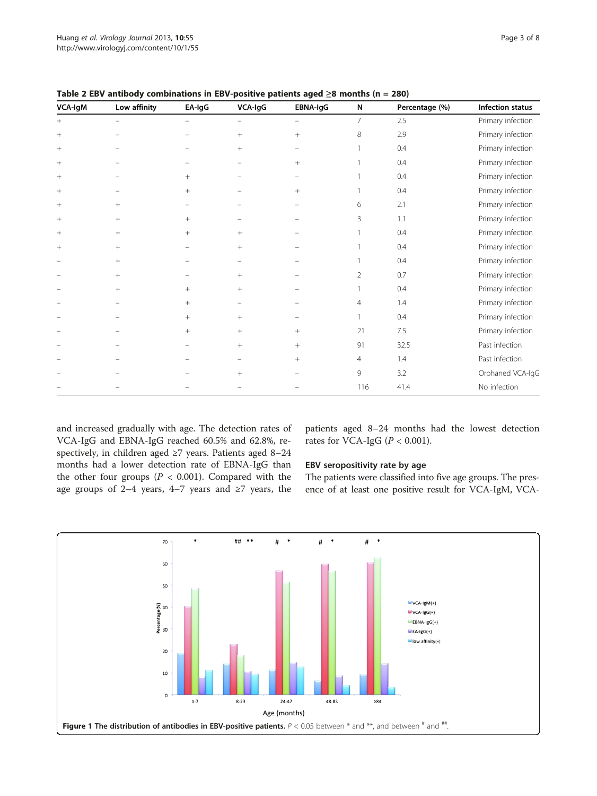| VCA-IgM | Low affinity | EA-IgG | VCA-IgG | EBNA-IgG        | N   | Percentage (%) | Infection status  |
|---------|--------------|--------|---------|-----------------|-----|----------------|-------------------|
| $^{+}$  |              |        |         |                 | 7   | 2.5            | Primary infection |
| $^{+}$  |              |        | $+$     | $+$             | 8   | 2.9            | Primary infection |
| $^{+}$  |              |        | $^{+}$  |                 |     | 0.4            | Primary infection |
| $^{+}$  |              |        |         | $\! + \!\!\!\!$ |     | 0.4            | Primary infection |
| $^{+}$  |              | $^{+}$ |         |                 |     | 0.4            | Primary infection |
| $^{+}$  |              | $^{+}$ |         | $^{+}$          |     | 0.4            | Primary infection |
| $^{+}$  | $^{+}$       |        |         |                 | 6   | 2.1            | Primary infection |
| $^{+}$  | $+$          | $^{+}$ |         |                 | 3   | 1.1            | Primary infection |
| $^{+}$  | $^{+}$       | $^{+}$ | $^{+}$  |                 |     | 0.4            | Primary infection |
| $^{+}$  | $^{+}$       |        | $^{+}$  |                 |     | 0.4            | Primary infection |
|         | $^{+}$       |        |         |                 |     | 0.4            | Primary infection |
|         | $+$          |        | $^{+}$  |                 | 2   | 0.7            | Primary infection |
|         | $^{+}$       | $^{+}$ | $+$     |                 |     | 0.4            | Primary infection |
|         |              | $^{+}$ |         |                 | 4   | 1.4            | Primary infection |
|         |              | $^{+}$ | $+$     |                 |     | 0.4            | Primary infection |
|         |              | $^{+}$ | $+$     | $+$             | 21  | 7.5            | Primary infection |
|         |              |        | $^{+}$  | $\! + \!\!\!\!$ | 91  | 32.5           | Past infection    |
|         |              |        |         | $+$             | 4   | 1.4            | Past infection    |
|         |              |        | $+$     |                 | 9   | 3.2            | Orphaned VCA-IgG  |
|         |              |        |         |                 | 116 | 41.4           | No infection      |

<span id="page-2-0"></span>Table 2 EBV antibody combinations in EBV-positive patients aged  $\geq 8$  months (n = 280)

and increased gradually with age. The detection rates of VCA-IgG and EBNA-IgG reached 60.5% and 62.8%, respectively, in children aged ≥7 years. Patients aged 8–24 months had a lower detection rate of EBNA-IgG than the other four groups ( $P < 0.001$ ). Compared with the age groups of 2–4 years, 4–7 years and  $\geq$ 7 years, the

patients aged 8–24 months had the lowest detection rates for VCA-IgG ( $P < 0.001$ ).

# EBV seropositivity rate by age

The patients were classified into five age groups. The presence of at least one positive result for VCA-IgM, VCA-

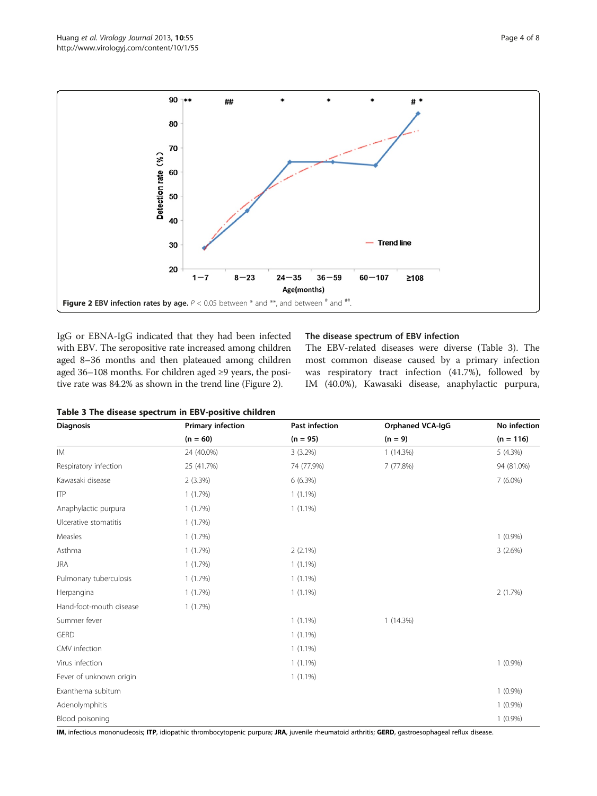

IgG or EBNA-IgG indicated that they had been infected with EBV. The seropositive rate increased among children aged 8–36 months and then plateaued among children aged 36–108 months. For children aged ≥9 years, the positive rate was 84.2% as shown in the trend line (Figure 2).

#### The disease spectrum of EBV infection

The EBV-related diseases were diverse (Table 3). The most common disease caused by a primary infection was respiratory tract infection (41.7%), followed by IM (40.0%), Kawasaki disease, anaphylactic purpura,

| Table 3 The disease spectrum in EBV-positive children |  |  |
|-------------------------------------------------------|--|--|
|-------------------------------------------------------|--|--|

| <b>Diagnosis</b>        | <b>Primary infection</b> | Past infection | <b>Orphaned VCA-IgG</b> | No infection |
|-------------------------|--------------------------|----------------|-------------------------|--------------|
|                         | $(n = 60)$               | $(n = 95)$     | $(n = 9)$               | $(n = 116)$  |
| <b>IM</b>               | 24 (40.0%)               | $3(3.2\%)$     | 1(14.3%)                | 5(4.3%)      |
| Respiratory infection   | 25 (41.7%)               | 74 (77.9%)     | 7 (77.8%)               | 94 (81.0%)   |
| Kawasaki disease        | $2(3.3\%)$               | 6(6.3%)        |                         | $7(6.0\%)$   |
| <b>ITP</b>              | 1(1.7%)                  | $1(1.1\%)$     |                         |              |
| Anaphylactic purpura    | 1(1.7%)                  | $1(1.1\%)$     |                         |              |
| Ulcerative stomatitis   | 1(1.7%)                  |                |                         |              |
| Measles                 | 1(1.7%)                  |                |                         | $1(0.9\%)$   |
| Asthma                  | 1(1.7%)                  | $2(2.1\%)$     |                         | 3(2.6%)      |
| <b>JRA</b>              | 1(1.7%)                  | $1(1.1\%)$     |                         |              |
| Pulmonary tuberculosis  | 1(1.7%)                  | $1(1.1\%)$     |                         |              |
| Herpangina              | 1(1.7%)                  | $1(1.1\%)$     |                         | 2(1.7%)      |
| Hand-foot-mouth disease | 1(1.7%)                  |                |                         |              |
| Summer fever            |                          | $1(1.1\%)$     | 1(14.3%)                |              |
| <b>GERD</b>             |                          | $1(1.1\%)$     |                         |              |
| CMV infection           |                          | $1(1.1\%)$     |                         |              |
| Virus infection         |                          | $1(1.1\%)$     |                         | $1(0.9\%)$   |
| Fever of unknown origin |                          | $1(1.1\%)$     |                         |              |
| Exanthema subitum       |                          |                |                         | $1(0.9\%)$   |
| Adenolymphitis          |                          |                |                         | $1(0.9\%)$   |
| Blood poisoning         |                          |                |                         | $1(0.9\%)$   |

IM, infectious mononucleosis; ITP, idiopathic thrombocytopenic purpura; JRA, juvenile rheumatoid arthritis; GERD, gastroesophageal reflux disease.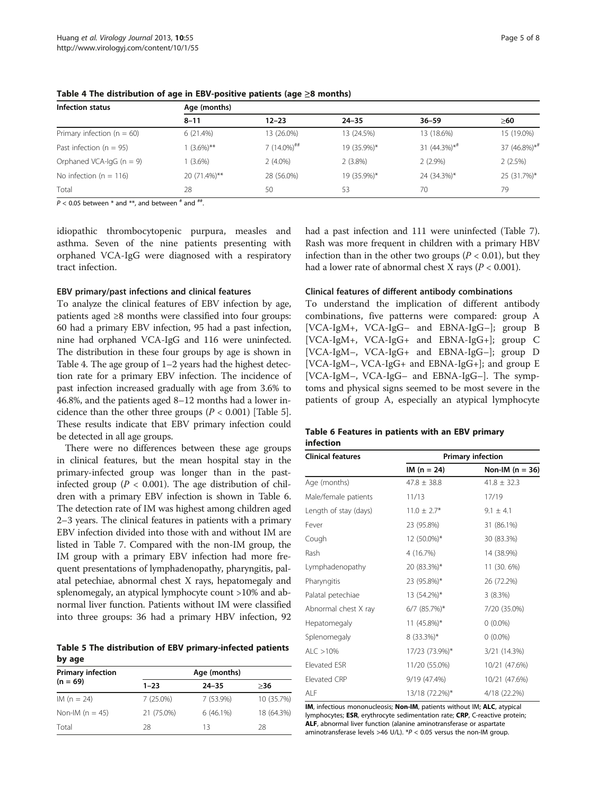| Infection status               | Age (months) |                           |             |                   |                          |  |  |
|--------------------------------|--------------|---------------------------|-------------|-------------------|--------------------------|--|--|
|                                | $8 - 11$     | $12 - 23$                 | $24 - 35$   | $36 - 59$         | ≥60                      |  |  |
| Primary infection ( $n = 60$ ) | 6(21.4%)     | 13 (26.0%)                | 13 (24.5%)  | 13 (18.6%)        | 15 (19.0%)               |  |  |
| Past infection ( $n = 95$ )    | $1(3.6\%)**$ | $7(14.0\%)$ <sup>##</sup> | 19 (35.9%)* | 31 $(44.3\%)^{*}$ | 37 (46.8%)* <sup>#</sup> |  |  |
| Orphaned VCA-IgG $(n = 9)$     | $1(3.6\%)$   | $2(4.0\%)$                | 2(3.8%)     | $2(2.9\%)$        | 2(2.5%)                  |  |  |
| No infection ( $n = 116$ )     | 20 (71.4%)** | 28 (56.0%)                | 19 (35.9%)* | 24 (34.3%)*       | 25 (31.7%)*              |  |  |
| Total                          | 28           | 50                        | 53          | 70                | 79                       |  |  |

Table 4 The distribution of age in EBV-positive patients (age ≥8 months)

 $P < 0.05$  between  $*$  and  $**$ , and between  $*$  and  $**$ .

idiopathic thrombocytopenic purpura, measles and asthma. Seven of the nine patients presenting with orphaned VCA-IgG were diagnosed with a respiratory tract infection.

#### EBV primary/past infections and clinical features

To analyze the clinical features of EBV infection by age, patients aged ≥8 months were classified into four groups: 60 had a primary EBV infection, 95 had a past infection, nine had orphaned VCA-IgG and 116 were uninfected. The distribution in these four groups by age is shown in Table 4. The age group of 1–2 years had the highest detection rate for a primary EBV infection. The incidence of past infection increased gradually with age from 3.6% to 46.8%, and the patients aged 8–12 months had a lower incidence than the other three groups ( $P < 0.001$ ) [Table 5]. These results indicate that EBV primary infection could be detected in all age groups.

There were no differences between these age groups in clinical features, but the mean hospital stay in the primary-infected group was longer than in the pastinfected group ( $P < 0.001$ ). The age distribution of children with a primary EBV infection is shown in Table 6. The detection rate of IM was highest among children aged 2–3 years. The clinical features in patients with a primary EBV infection divided into those with and without IM are listed in Table [7.](#page-5-0) Compared with the non-IM group, the IM group with a primary EBV infection had more frequent presentations of lymphadenopathy, pharyngitis, palatal petechiae, abnormal chest X rays, hepatomegaly and splenomegaly, an atypical lymphocyte count >10% and abnormal liver function. Patients without IM were classified into three groups: 36 had a primary HBV infection, 92

Table 5 The distribution of EBV primary-infected patients by age

| <b>Primary infection</b> |             |             |            |
|--------------------------|-------------|-------------|------------|
| $(n = 69)$               | $1 - 23$    | $24 - 35$   | >36        |
| $IM (n = 24)$            | $7(25.0\%)$ | $7(53.9\%)$ | 10 (35.7%) |
| Non-IM ( $n = 45$ )      | 21 (75.0%)  | $6(46.1\%)$ | 18 (64.3%) |
| Total                    | 28          | 13          | 28         |

had a past infection and 111 were uninfected (Table [7](#page-5-0)). Rash was more frequent in children with a primary HBV infection than in the other two groups ( $P < 0.01$ ), but they had a lower rate of abnormal chest X rays ( $P < 0.001$ ).

#### Clinical features of different antibody combinations

To understand the implication of different antibody combinations, five patterns were compared: group A [VCA-IgM+, VCA-IgG– and EBNA-IgG–]; group B [VCA-IgM+, VCA-IgG+ and EBNA-IgG+]; group C [VCA-IgM–, VCA-IgG+ and EBNA-IgG–]; group D [VCA-IgM–, VCA-IgG+ and EBNA-IgG+]; and group E [VCA-IgM–, VCA-IgG– and EBNA-IgG–]. The symptoms and physical signs seemed to be most severe in the patients of group A, especially an atypical lymphocyte

#### Table 6 Features in patients with an EBV primary infection

| <b>Clinical features</b> | <b>Primary infection</b> |                   |  |  |
|--------------------------|--------------------------|-------------------|--|--|
|                          | $IM (n = 24)$            | Non-IM $(n = 36)$ |  |  |
| Age (months)             | $47.8 \pm 38.8$          | $41.8 \pm 32.3$   |  |  |
| Male/female patients     | 11/13                    | 17/19             |  |  |
| Length of stay (days)    | $11.0 \pm 2.7*$          | $9.1 \pm 4.1$     |  |  |
| Fever                    | 23 (95.8%)               | 31 (86.1%)        |  |  |
| Cough                    | 12 (50.0%)*              | 30 (83.3%)        |  |  |
| Rash                     | 4 (16.7%)                | 14 (38.9%)        |  |  |
| Lymphadenopathy          | 20 (83.3%)*              | 11 (30. 6%)       |  |  |
| Pharyngitis              | 23 (95.8%)*              | 26 (72.2%)        |  |  |
| Palatal petechiae        | 13 (54.2%)*              | 3(8.3%)           |  |  |
| Abnormal chest X ray     | $6/7$ (85.7%)*           | 7/20 (35.0%)      |  |  |
| Hepatomegaly             | 11 (45.8%)*              | $0(0.0\%)$        |  |  |
| Splenomegaly             | $8(33.3\%)*$             | $0(0.0\%)$        |  |  |
| ALC > 10%                | 17/23 (73.9%)*           | 3/21 (14.3%)      |  |  |
| Elevated ESR             | 11/20 (55.0%)            | 10/21 (47.6%)     |  |  |
| Elevated CRP             | 9/19 (47.4%)             | 10/21 (47.6%)     |  |  |
| ALF                      | 13/18 (72.2%)*           | 4/18 (22.2%)      |  |  |

IM, infectious mononucleosis; Non-IM, patients without IM; ALC, atypical lymphocytes; ESR, erythrocyte sedimentation rate; CRP, C-reactive protein; ALF, abnormal liver function (alanine aminotransferase or aspartate aminotransferase levels >46 U/L).  $*P < 0.05$  versus the non-IM group.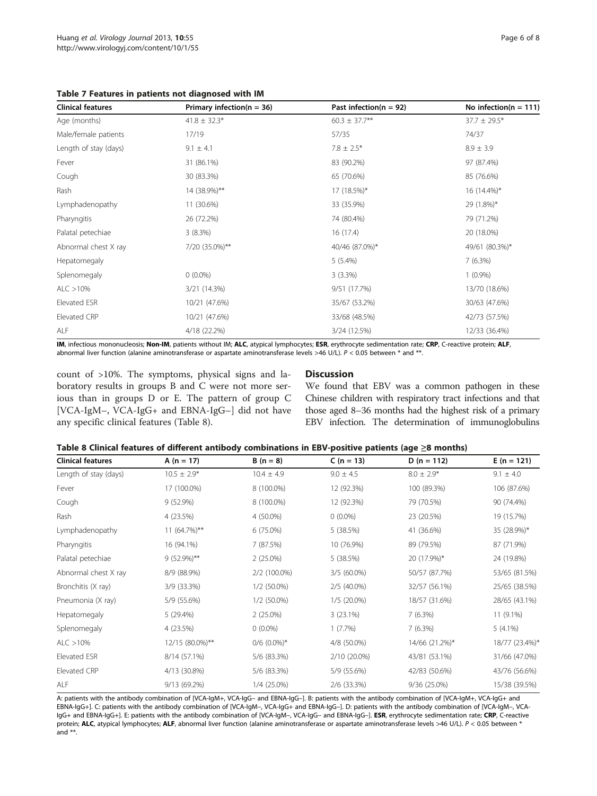<span id="page-5-0"></span>Table 7 Features in patients not diagnosed with IM

| <b>Clinical features</b> | Primary infection( $n = 36$ ) | Past infection( $n = 92$ ) | No infection( $n = 111$ ) |
|--------------------------|-------------------------------|----------------------------|---------------------------|
| Age (months)             | $41.8 \pm 32.3*$              | $60.3 \pm 37.7$ **         | $37.7 \pm 29.5*$          |
| Male/female patients     | 17/19                         | 57/35                      | 74/37                     |
| Length of stay (days)    | $9.1 \pm 4.1$                 | $7.8 \pm 2.5*$             | $8.9 \pm 3.9$             |
| Fever                    | 31 (86.1%)                    | 83 (90.2%)                 | 97 (87.4%)                |
| Cough                    | 30 (83.3%)                    | 65 (70.6%)                 | 85 (76.6%)                |
| Rash                     | 14 (38.9%)**                  | 17 (18.5%)*                | 16 (14.4%)*               |
| Lymphadenopathy          | 11 (30.6%)                    | 33 (35.9%)                 | 29 (1.8%)*                |
| Pharyngitis              | 26 (72.2%)                    | 74 (80.4%)                 | 79 (71.2%)                |
| Palatal petechiae        | 3(8.3%)                       | 16(17.4)                   | 20 (18.0%)                |
| Abnormal chest X ray     | 7/20 (35.0%)**                | 40/46 (87.0%)*             | 49/61 (80.3%)*            |
| Hepatomegaly             |                               | $5(5.4\%)$                 | 7(6.3%)                   |
| Splenomegaly             | $0(0.0\%)$                    | 3(3.3%)                    | $1(0.9\%)$                |
| ALC > 10%                | 3/21 (14.3%)                  | 9/51 (17.7%)               | 13/70 (18.6%)             |
| Elevated ESR             | 10/21 (47.6%)                 | 35/67 (53.2%)              | 30/63 (47.6%)             |
| Elevated CRP             | 10/21 (47.6%)                 | 33/68 (48.5%)              | 42/73 (57.5%)             |
| ALF                      | 4/18 (22.2%)                  | 3/24 (12.5%)               | 12/33 (36.4%)             |

IM, infectious mononucleosis; Non-IM, patients without IM; ALC, atypical lymphocytes; ESR, erythrocyte sedimentation rate; CRP, C-reactive protein; ALF, abnormal liver function (alanine aminotransferase or aspartate aminotransferase levels >46 U/L). P < 0.05 between \* and \*\*.

count of >10%. The symptoms, physical signs and laboratory results in groups B and C were not more serious than in groups D or E. The pattern of group C [VCA-IgM–, VCA-IgG+ and EBNA-IgG–] did not have any specific clinical features (Table 8).

# **Discussion**

We found that EBV was a common pathogen in these Chinese children with respiratory tract infections and that those aged 8–36 months had the highest risk of a primary EBV infection. The determination of immunoglobulins

| Table 8 Clinical features of different antibody combinations in EBV-positive patients (age $\geq$ 8 months) |  |  |
|-------------------------------------------------------------------------------------------------------------|--|--|
|-------------------------------------------------------------------------------------------------------------|--|--|

| <b>Clinical features</b> | A ( $n = 17$ )  | $B(n = 8)$       | $C (n = 13)$  | $D (n = 112)$  | $E(n = 121)$   |
|--------------------------|-----------------|------------------|---------------|----------------|----------------|
|                          |                 |                  |               |                |                |
| Length of stay (days)    | $10.5 \pm 2.9*$ | $10.4 \pm 4.9$   | $9.0 \pm 4.5$ | $8.0 \pm 2.9*$ | $9.1 \pm 4.0$  |
| Fever                    | 17 (100.0%)     | 8 (100.0%)       | 12 (92.3%)    | 100 (89.3%)    | 106 (87.6%)    |
| Cough                    | $9(52.9\%)$     | 8 (100.0%)       | 12 (92.3%)    | 79 (70.5%)     | 90 (74.4%)     |
| Rash                     | 4 (23.5%)       | 4 (50.0%)        | $0(0.0\%)$    | 23 (20.5%)     | 19 (15.7%)     |
| Lymphadenopathy          | 11 (64.7%)**    | $6(75.0\%)$      | 5(38.5%)      | 41 (36.6%)     | 35 (28.9%)*    |
| Pharyngitis              | 16 (94.1%)      | 7 (87.5%)        | 10 (76.9%)    | 89 (79.5%)     | 87 (71.9%)     |
| Palatal petechiae        | $9(52.9\%)**$   | $2(25.0\%)$      | 5 (38.5%)     | 20 (17.9%)*    | 24 (19.8%)     |
| Abnormal chest X ray     | 8/9 (88.9%)     | 2/2 (100.0%)     | $3/5(60.0\%)$ | 50/57 (87.7%)  | 53/65 (81.5%)  |
| Bronchitis (X ray)       | 3/9 (33.3%)     | 1/2 (50.0%)      | $2/5$ (40.0%) | 32/57 (56.1%)  | 25/65 (38.5%)  |
| Pneumonia (X ray)        | 5/9 (55.6%)     | 1/2 (50.0%)      | $1/5(20.0\%)$ | 18/57 (31.6%)  | 28/65 (43.1%)  |
| Hepatomegaly             | 5 (29.4%)       | $2(25.0\%)$      | 3(23.1%)      | 7(6.3%)        | $11(9.1\%)$    |
| Splenomegaly             | 4 (23.5%)       | $0(0.0\%)$       | 1(7.7%)       | 7(6.3%)        | $5(4.1\%)$     |
| ALC > 10%                | 12/15 (80.0%)** | $0/6$ $(0.0\%)*$ | 4/8 (50.0%)   | 14/66 (21.2%)* | 18/77 (23.4%)* |
| Elevated ESR             | 8/14 (57.1%)    | 5/6 (83.3%)      | 2/10 (20.0%)  | 43/81 (53.1%)  | 31/66 (47.0%)  |
| Elevated CRP             | 4/13 (30.8%)    | 5/6 (83.3%)      | 5/9 (55.6%)   | 42/83 (50.6%)  | 43/76 (56.6%)  |
| ALF                      | 9/13 (69.2%)    | 1/4 (25.0%)      | 2/6 (33.3%)   | 9/36 (25.0%)   | 15/38 (39.5%)  |

A: patients with the antibody combination of [VCA-IgM+, VCA-IgG– and EBNA-IgG–]. B: patients with the antibody combination of [VCA-IgM+, VCA-IgG+ and EBNA-IgG+]. C: patients with the antibody combination of [VCA-IgM–, VCA-IgG+ and EBNA-IgG–]. D: patients with the antibody combination of [VCA-IgM–, VCA-IgG+ and EBNA-IgG+]. E: patients with the antibody combination of [VCA-IgM–, VCA-IgG– and EBNA-IgG–]. ESR, erythrocyte sedimentation rate; CRP, C-reactive protein; ALC, atypical lymphocytes; ALF, abnormal liver function (alanine aminotransferase or aspartate aminotransferase levels >46 U/L). P < 0.05 between \* and  $**$ .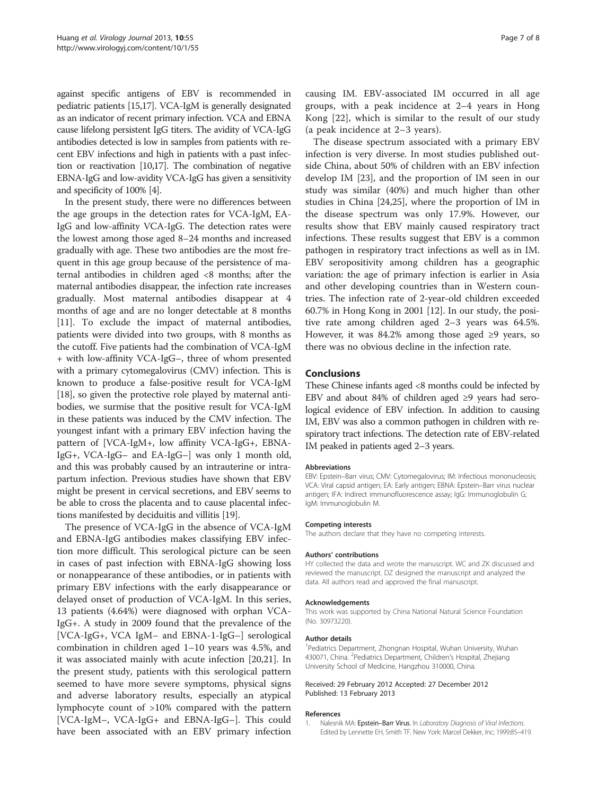<span id="page-6-0"></span>against specific antigens of EBV is recommended in pediatric patients [\[15,17](#page-7-0)]. VCA-IgM is generally designated as an indicator of recent primary infection. VCA and EBNA cause lifelong persistent IgG titers. The avidity of VCA-IgG antibodies detected is low in samples from patients with recent EBV infections and high in patients with a past infection or reactivation [\[10,17](#page-7-0)]. The combination of negative EBNA-IgG and low-avidity VCA-IgG has given a sensitivity and specificity of 100% [\[4](#page-7-0)].

In the present study, there were no differences between the age groups in the detection rates for VCA-IgM, EA-IgG and low-affinity VCA-IgG. The detection rates were the lowest among those aged 8–24 months and increased gradually with age. These two antibodies are the most frequent in this age group because of the persistence of maternal antibodies in children aged <8 months; after the maternal antibodies disappear, the infection rate increases gradually. Most maternal antibodies disappear at 4 months of age and are no longer detectable at 8 months [[11](#page-7-0)]. To exclude the impact of maternal antibodies, patients were divided into two groups, with 8 months as the cutoff. Five patients had the combination of VCA-IgM + with low-affinity VCA-IgG–, three of whom presented with a primary cytomegalovirus (CMV) infection. This is known to produce a false-positive result for VCA-IgM [[18](#page-7-0)], so given the protective role played by maternal antibodies, we surmise that the positive result for VCA-IgM in these patients was induced by the CMV infection. The youngest infant with a primary EBV infection having the pattern of [VCA-IgM+, low affinity VCA-IgG+, EBNA-IgG+, VCA-IgG– and EA-IgG–] was only 1 month old, and this was probably caused by an intrauterine or intrapartum infection. Previous studies have shown that EBV might be present in cervical secretions, and EBV seems to be able to cross the placenta and to cause placental infections manifested by deciduitis and villitis [[19](#page-7-0)].

The presence of VCA-IgG in the absence of VCA-IgM and EBNA-IgG antibodies makes classifying EBV infection more difficult. This serological picture can be seen in cases of past infection with EBNA-IgG showing loss or nonappearance of these antibodies, or in patients with primary EBV infections with the early disappearance or delayed onset of production of VCA-IgM. In this series, 13 patients (4.64%) were diagnosed with orphan VCA-IgG+. A study in 2009 found that the prevalence of the [VCA-IgG+, VCA IgM– and EBNA-1-IgG–] serological combination in children aged 1–10 years was 4.5%, and it was associated mainly with acute infection [\[20,21\]](#page-7-0). In the present study, patients with this serological pattern seemed to have more severe symptoms, physical signs and adverse laboratory results, especially an atypical lymphocyte count of >10% compared with the pattern [VCA-IgM–, VCA-IgG+ and EBNA-IgG–]. This could have been associated with an EBV primary infection causing IM. EBV-associated IM occurred in all age groups, with a peak incidence at 2–4 years in Hong Kong [\[22\]](#page-7-0), which is similar to the result of our study (a peak incidence at 2–3 years).

The disease spectrum associated with a primary EBV infection is very diverse. In most studies published outside China, about 50% of children with an EBV infection develop IM [[23](#page-7-0)], and the proportion of IM seen in our study was similar (40%) and much higher than other studies in China [\[24,25](#page-7-0)], where the proportion of IM in the disease spectrum was only 17.9%. However, our results show that EBV mainly caused respiratory tract infections. These results suggest that EBV is a common pathogen in respiratory tract infections as well as in IM. EBV seropositivity among children has a geographic variation: the age of primary infection is earlier in Asia and other developing countries than in Western countries. The infection rate of 2-year-old children exceeded 60.7% in Hong Kong in 2001 [\[12\]](#page-7-0). In our study, the positive rate among children aged 2–3 years was 64.5%. However, it was 84.2% among those aged  $\geq$ 9 years, so there was no obvious decline in the infection rate.

#### Conclusions

These Chinese infants aged <8 months could be infected by EBV and about 84% of children aged ≥9 years had serological evidence of EBV infection. In addition to causing IM, EBV was also a common pathogen in children with respiratory tract infections. The detection rate of EBV-related IM peaked in patients aged 2–3 years.

#### Abbreviations

EBV: Epstein–Barr virus; CMV: Cytomegalovirus; IM: Infectious mononucleosis; VCA: Viral capsid antigen; EA: Early antigen; EBNA: Epstein–Barr virus nuclear antigen; IFA: Indirect immunofluorescence assay; IgG: Immunoglobulin G; IgM: Immunoglobulin M.

#### Competing interests

The authors declare that they have no competing interests.

#### Authors' contributions

HY collected the data and wrote the manuscript. WC and ZK discussed and reviewed the manuscript. DZ designed the manuscript and analyzed the data. All authors read and approved the final manuscript.

#### Acknowledgements

This work was supported by China National Natural Science Foundation (No. 30973220).

#### Author details

1 Pediatrics Department, Zhongnan Hospital, Wuhan University, Wuhan 430071, China. <sup>2</sup> Pediatrics Department, Children's Hospital, Zhejiang University School of Medicine, Hangzhou 310000, China.

#### Received: 29 February 2012 Accepted: 27 December 2012 Published: 13 February 2013

#### References

1. Nalesnik MA: Epstein-Barr Virus. In Laboratory Diagnosis of Viral Infections. Edited by Lennette EH, Smith TF. New York: Marcel Dekker, Inc; 1999:85–419.